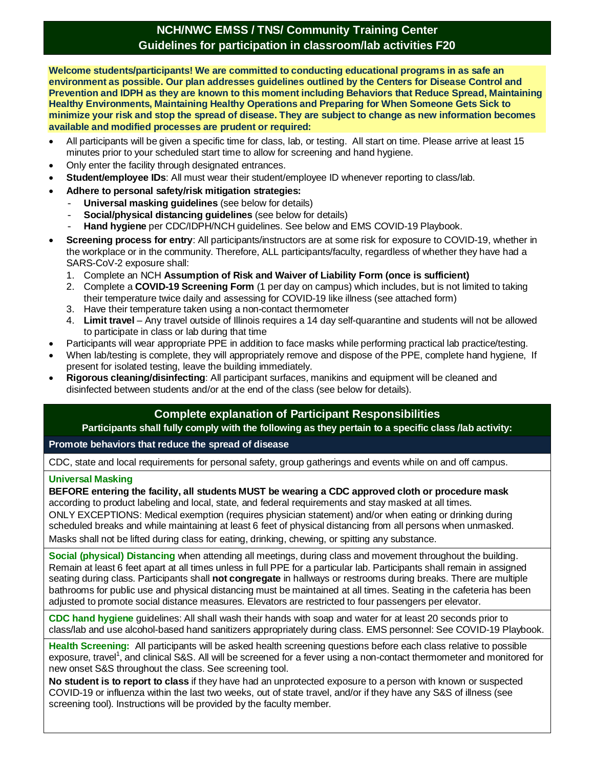# **NCH/NWC EMSS / TNS/ Community Training Center Guidelines for participation in classroom/lab activities F20**

**Welcome students/participants! We are committed to conducting educational programs in as safe an environment as possible. Our plan addresses guidelines outlined by the Centers for Disease Control and Prevention and IDPH as they are known to this moment including Behaviors that Reduce Spread, Maintaining Healthy Environments, Maintaining Healthy Operations and Preparing for When Someone Gets Sick to minimize your risk and stop the spread of disease. They are subject to change as new information becomes available and modified processes are prudent or required:**

- All participants will be given a specific time for class, lab, or testing. All start on time. Please arrive at least 15 minutes prior to your scheduled start time to allow for screening and hand hygiene.
- Only enter the facility through designated entrances.
- **Student/employee IDs**: All must wear their student/employee ID whenever reporting to class/lab.
- **Adhere to personal safety/risk mitigation strategies:**
	- **Universal masking guidelines** (see below for details)
	- **Social/physical distancing quidelines** (see below for details)
	- **Hand hygiene** per CDC/IDPH/NCH guidelines. See below and EMS COVID-19 Playbook.
- **Screening process for entry**: All participants/instructors are at some risk for exposure to COVID-19, whether in the workplace or in the community. Therefore, ALL participants/faculty, regardless of whether they have had a SARS-CoV-2 exposure shall:
	- 1. Complete an NCH **Assumption of Risk and Waiver of Liability Form (once is sufficient)**
	- 2. Complete a **COVID-19 Screening Form** (1 per day on campus) which includes, but is not limited to taking their temperature twice daily and assessing for COVID-19 like illness (see attached form)
	- 3. Have their temperature taken using a non-contact thermometer
	- 4. **Limit travel** Any travel outside of Illinois requires a 14 day self-quarantine and students will not be allowed to participate in class or lab during that time
- Participants will wear appropriate PPE in addition to face masks while performing practical lab practice/testing.
- When lab/testing is complete, they will appropriately remove and dispose of the PPE, complete hand hygiene. If present for isolated testing, leave the building immediately.
- **Rigorous cleaning/disinfecting**: All participant surfaces, manikins and equipment will be cleaned and disinfected between students and/or at the end of the class (see below for details).

# **Complete explanation of Participant Responsibilities**

**Participants shall fully comply with the following as they pertain to a specific class /lab activity:**

## **Promote behaviors that reduce the spread of disease**

CDC, state and local requirements for personal safety, group gatherings and events while on and off campus.

## **Universal Masking**

**BEFORE entering the facility, all students MUST be wearing a CDC approved cloth or procedure mask** according to product labeling and local, state, and federal requirements and stay masked at all times.

ONLY EXCEPTIONS: Medical exemption (requires physician statement) and/or when eating or drinking during scheduled breaks and while maintaining at least 6 feet of physical distancing from all persons when unmasked. Masks shall not be lifted during class for eating, drinking, chewing, or spitting any substance.

**Social (physical) Distancing** when attending all meetings, during class and movement throughout the building. Remain at least 6 feet apart at all times unless in full PPE for a particular lab. Participants shall remain in assigned seating during class. Participants shall **not congregate** in hallways or restrooms during breaks. There are multiple bathrooms for public use and physical distancing must be maintained at all times. Seating in the cafeteria has been adjusted to promote social distance measures. Elevators are restricted to four passengers per elevator.

**CDC hand hygiene** guidelines: All shall wash their hands with soap and water for at least 20 seconds prior to class/lab and use alcohol-based hand sanitizers appropriately during class. EMS personnel: See COVID-19 Playbook.

**Health Screening:** All participants will be asked health screening questions before each class relative to possible exposure, travel<sup>1</sup>, and clinical S&S. All will be screened for a fever using a non-contact thermometer and monitored for new onset S&S throughout the class. See screening tool.

**No student is to report to class** if they have had an unprotected exposure to a person with known or suspected COVID-19 or influenza within the last two weeks, out of state travel, and/or if they have any S&S of illness (see screening tool). Instructions will be provided by the faculty member.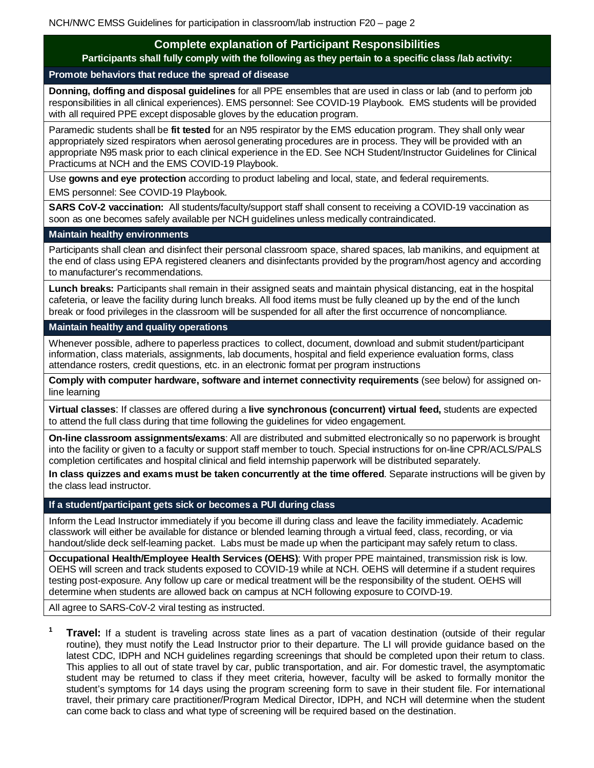# **Complete explanation of Participant Responsibilities**

**Participants shall fully comply with the following as they pertain to a specific class /lab activity:**

# **Promote behaviors that reduce the spread of disease**

**Donning, doffing and disposal guidelines** for all PPE ensembles that are used in class or lab (and to perform job responsibilities in all clinical experiences). EMS personnel: See COVID-19 Playbook. EMS students will be provided with all required PPE except disposable gloves by the education program.

Paramedic students shall be **fit tested** for an N95 respirator by the EMS education program. They shall only wear appropriately sized respirators when aerosol generating procedures are in process. They will be provided with an appropriate N95 mask prior to each clinical experience in the ED. See NCH Student/Instructor Guidelines for Clinical Practicums at NCH and the EMS COVID-19 Playbook.

Use **gowns and eye protection** according to product labeling and local, state, and federal requirements. EMS personnel: See COVID-19 Playbook.

**SARS CoV-2 vaccination:** All students/faculty/support staff shall consent to receiving a COVID-19 vaccination as soon as one becomes safely available per NCH guidelines unless medically contraindicated.

## **Maintain healthy environments**

Participants shall clean and disinfect their personal classroom space, shared spaces, lab manikins, and equipment at the end of class using EPA registered cleaners and disinfectants provided by the program/host agency and according to manufacturer's recommendations.

**Lunch breaks:** Participants shall remain in their assigned seats and maintain physical distancing, eat in the hospital cafeteria, or leave the facility during lunch breaks. All food items must be fully cleaned up by the end of the lunch break or food privileges in the classroom will be suspended for all after the first occurrence of noncompliance.

#### **Maintain healthy and quality operations**

Whenever possible, adhere to paperless practices to collect, document, download and submit student/participant information, class materials, assignments, lab documents, hospital and field experience evaluation forms, class attendance rosters, credit questions, etc. in an electronic format per program instructions

**Comply with computer hardware, software and internet connectivity requirements** (see below) for assigned online learning

**Virtual classes**: If classes are offered during a **live synchronous (concurrent) virtual feed,** students are expected to attend the full class during that time following the guidelines for video engagement.

**On-line classroom assignments/exams**: All are distributed and submitted electronically so no paperwork is brought into the facility or given to a faculty or support staff member to touch. Special instructions for on-line CPR/ACLS/PALS completion certificates and hospital clinical and field internship paperwork will be distributed separately.

**In class quizzes and exams must be taken concurrently at the time offered**. Separate instructions will be given by the class lead instructor.

## **If a student/participant gets sick or becomes a PUI during class**

Inform the Lead Instructor immediately if you become ill during class and leave the facility immediately. Academic classwork will either be available for distance or blended learning through a virtual feed, class, recording, or via handout/slide deck self-learning packet. Labs must be made up when the participant may safely return to class.

**Occupational Health/Employee Health Services (OEHS)**: With proper PPE maintained, transmission risk is low. OEHS will screen and track students exposed to COVID-19 while at NCH. OEHS will determine if a student requires testing post-exposure. Any follow up care or medical treatment will be the responsibility of the student. OEHS will determine when students are allowed back on campus at NCH following exposure to COIVD-19.

All agree to SARS-CoV-2 viral testing as instructed.

**<sup>1</sup> Travel:** If a student is traveling across state lines as a part of vacation destination (outside of their regular routine), they must notify the Lead Instructor prior to their departure. The LI will provide guidance based on the latest CDC, IDPH and NCH guidelines regarding screenings that should be completed upon their return to class. This applies to all out of state travel by car, public transportation, and air. For domestic travel, the asymptomatic student may be returned to class if they meet criteria, however, faculty will be asked to formally monitor the student's symptoms for 14 days using the program screening form to save in their student file. For international travel, their primary care practitioner/Program Medical Director, IDPH, and NCH will determine when the student can come back to class and what type of screening will be required based on the destination.